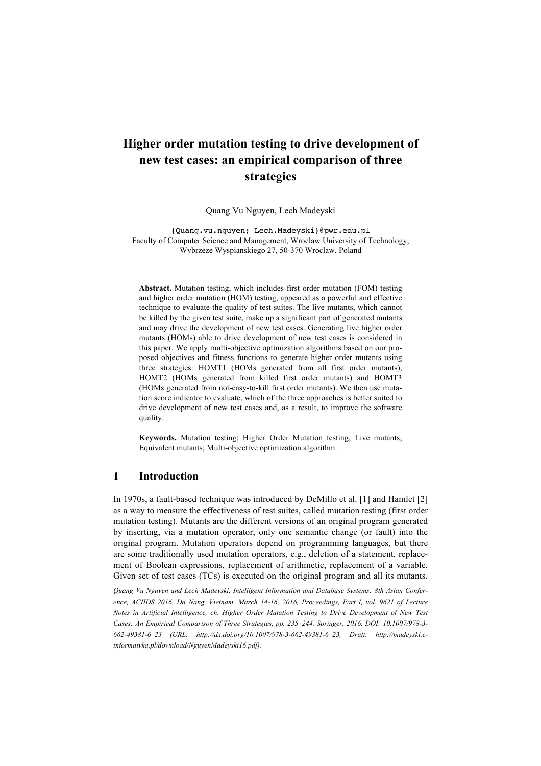# **Higher order mutation testing to drive development of new test cases: an empirical comparison of three strategies**

Quang Vu Nguyen, Lech Madeyski

{Quang.vu.nguyen; Lech.Madeyski}@pwr.edu.pl Faculty of Computer Science and Management, Wroclaw University of Technology, Wybrzeze Wyspianskiego 27, 50-370 Wroclaw, Poland

**Abstract.** Mutation testing, which includes first order mutation (FOM) testing and higher order mutation (HOM) testing, appeared as a powerful and effective technique to evaluate the quality of test suites. The live mutants, which cannot be killed by the given test suite, make up a significant part of generated mutants and may drive the development of new test cases. Generating live higher order mutants (HOMs) able to drive development of new test cases is considered in this paper. We apply multi-objective optimization algorithms based on our proposed objectives and fitness functions to generate higher order mutants using three strategies: HOMT1 (HOMs generated from all first order mutants), HOMT2 (HOMs generated from killed first order mutants) and HOMT3 (HOMs generated from not-easy-to-kill first order mutants). We then use mutation score indicator to evaluate, which of the three approaches is better suited to drive development of new test cases and, as a result, to improve the software quality.

**Keywords.** Mutation testing; Higher Order Mutation testing; Live mutants; Equivalent mutants; Multi-objective optimization algorithm.

## **1 Introduction**

In 1970s, a fault-based technique was introduced by DeMillo et al. [1] and Hamlet [2] as a way to measure the effectiveness of test suites, called mutation testing (first order mutation testing). Mutants are the different versions of an original program generated by inserting, via a mutation operator, only one semantic change (or fault) into the original program. Mutation operators depend on programming languages, but there are some traditionally used mutation operators, e.g., deletion of a statement, replacement of Boolean expressions, replacement of arithmetic, replacement of a variable. Given set of test cases (TCs) is executed on the original program and all its mutants.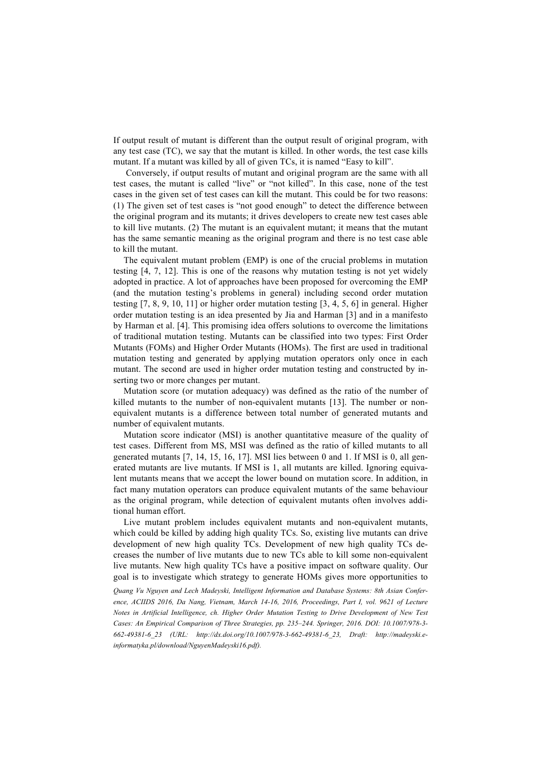If output result of mutant is different than the output result of original program, with any test case (TC), we say that the mutant is killed. In other words, the test case kills mutant. If a mutant was killed by all of given TCs, it is named "Easy to kill".

Conversely, if output results of mutant and original program are the same with all test cases, the mutant is called "live" or "not killed". In this case, none of the test cases in the given set of test cases can kill the mutant. This could be for two reasons: (1) The given set of test cases is "not good enough" to detect the difference between the original program and its mutants; it drives developers to create new test cases able to kill live mutants. (2) The mutant is an equivalent mutant; it means that the mutant has the same semantic meaning as the original program and there is no test case able to kill the mutant.

The equivalent mutant problem (EMP) is one of the crucial problems in mutation testing [4, 7, 12]. This is one of the reasons why mutation testing is not yet widely adopted in practice. A lot of approaches have been proposed for overcoming the EMP (and the mutation testing's problems in general) including second order mutation testing [7, 8, 9, 10, 11] or higher order mutation testing [3, 4, 5, 6] in general. Higher order mutation testing is an idea presented by Jia and Harman [3] and in a manifesto by Harman et al. [4]. This promising idea offers solutions to overcome the limitations of traditional mutation testing. Mutants can be classified into two types: First Order Mutants (FOMs) and Higher Order Mutants (HOMs). The first are used in traditional mutation testing and generated by applying mutation operators only once in each mutant. The second are used in higher order mutation testing and constructed by inserting two or more changes per mutant.

Mutation score (or mutation adequacy) was defined as the ratio of the number of killed mutants to the number of non-equivalent mutants [13]. The number or nonequivalent mutants is a difference between total number of generated mutants and number of equivalent mutants.

Mutation score indicator (MSI) is another quantitative measure of the quality of test cases. Different from MS, MSI was defined as the ratio of killed mutants to all generated mutants [7, 14, 15, 16, 17]. MSI lies between 0 and 1. If MSI is 0, all generated mutants are live mutants. If MSI is 1, all mutants are killed. Ignoring equivalent mutants means that we accept the lower bound on mutation score. In addition, in fact many mutation operators can produce equivalent mutants of the same behaviour as the original program, while detection of equivalent mutants often involves additional human effort.

Live mutant problem includes equivalent mutants and non-equivalent mutants, which could be killed by adding high quality TCs. So, existing live mutants can drive development of new high quality TCs. Development of new high quality TCs decreases the number of live mutants due to new TCs able to kill some non-equivalent live mutants. New high quality TCs have a positive impact on software quality. Our goal is to investigate which strategy to generate HOMs gives more opportunities to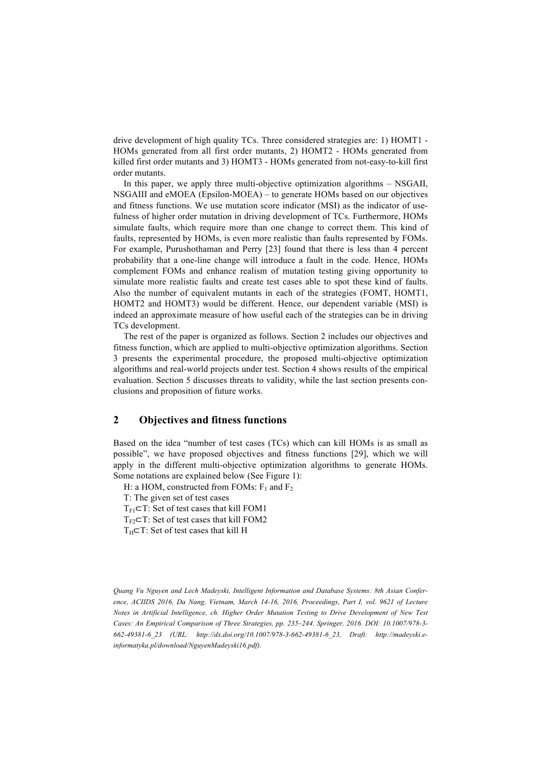drive development of high quality TCs. Three considered strategies are: 1) HOMT1 - HOMs generated from all first order mutants, 2) HOMT2 - HOMs generated from killed first order mutants and 3) HOMT3 - HOMs generated from not-easy-to-kill first order mutants.

In this paper, we apply three multi-objective optimization algorithms – NSGAII, NSGAIII and eMOEA (Epsilon-MOEA) – to generate HOMs based on our objectives and fitness functions. We use mutation score indicator (MSI) as the indicator of usefulness of higher order mutation in driving development of TCs. Furthermore, HOMs simulate faults, which require more than one change to correct them. This kind of faults, represented by HOMs, is even more realistic than faults represented by FOMs. For example, Purushothaman and Perry [23] found that there is less than 4 percent probability that a one-line change will introduce a fault in the code. Hence, HOMs complement FOMs and enhance realism of mutation testing giving opportunity to simulate more realistic faults and create test cases able to spot these kind of faults. Also the number of equivalent mutants in each of the strategies (FOMT, HOMT1, HOMT2 and HOMT3) would be different. Hence, our dependent variable (MSI) is indeed an approximate measure of how useful each of the strategies can be in driving TCs development.

The rest of the paper is organized as follows. Section 2 includes our objectives and fitness function, which are applied to multi-objective optimization algorithms. Section 3 presents the experimental procedure, the proposed multi-objective optimization algorithms and real-world projects under test. Section 4 shows results of the empirical evaluation. Section 5 discusses threats to validity, while the last section presents conclusions and proposition of future works.

# **2 Objectives and fitness functions**

Based on the idea "number of test cases (TCs) which can kill HOMs is as small as possible", we have proposed objectives and fitness functions [29], which we will apply in the different multi-objective optimization algorithms to generate HOMs. Some notations are explained below (See Figure 1):

H: a HOM, constructed from FOMs:  $F_1$  and  $F_2$ 

T: The given set of test cases

 $T_{F1}$ ⊂T: Set of test cases that kill FOM1

 $T_{F2}$ ⊂T: Set of test cases that kill FOM2

 $T_H \subset T$ : Set of test cases that kill H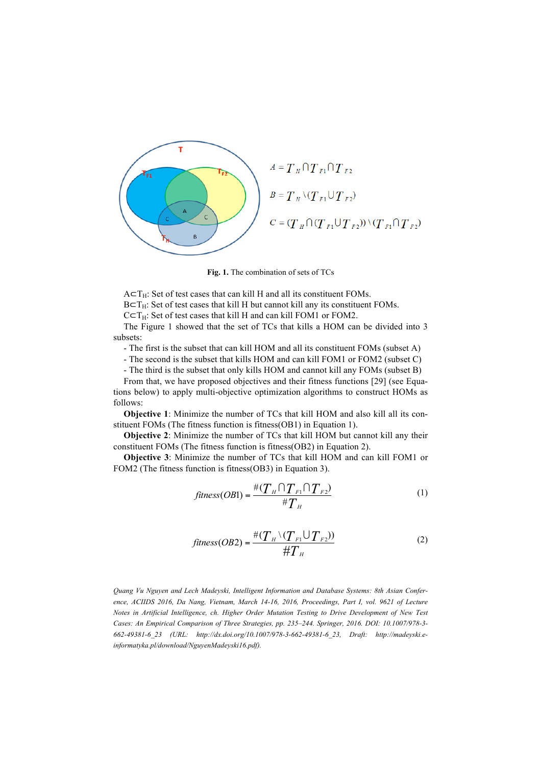

**Fig. 1.** The combination of sets of TCs

 $A \subset T_H$ : Set of test cases that can kill H and all its constituent FOMs.

 $B \subset T_H$ : Set of test cases that kill H but cannot kill any its constituent FOMs.

 $C \subset T_H$ : Set of test cases that kill H and can kill FOM1 or FOM2.

The Figure 1 showed that the set of TCs that kills a HOM can be divided into 3 subsets:

- The first is the subset that can kill HOM and all its constituent FOMs (subset A)

- The second is the subset that kills HOM and can kill FOM1 or FOM2 (subset C)

- The third is the subset that only kills HOM and cannot kill any FOMs (subset B)

From that, we have proposed objectives and their fitness functions [29] (see Equations below) to apply multi-objective optimization algorithms to construct HOMs as

follows:

**Objective 1**: Minimize the number of TCs that kill HOM and also kill all its constituent FOMs (The fitness function is fitness(OB1) in Equation 1).

**Objective 2**: Minimize the number of TCs that kill HOM but cannot kill any their constituent FOMs (The fitness function is fitness(OB2) in Equation 2).

**Objective 3**: Minimize the number of TCs that kill HOM and can kill FOM1 or FOM2 (The fitness function is fitness(OB3) in Equation 3).

$$
fitness(OB1) = \frac{\#(T_H \cap T_{F1} \cap T_{F2})}{\#T_H}
$$
 (1)

$$
fitness(OB2) = \frac{\#(T_H \setminus (T_{F1} \cup T_{F2}))}{\#T_H}
$$
 (2)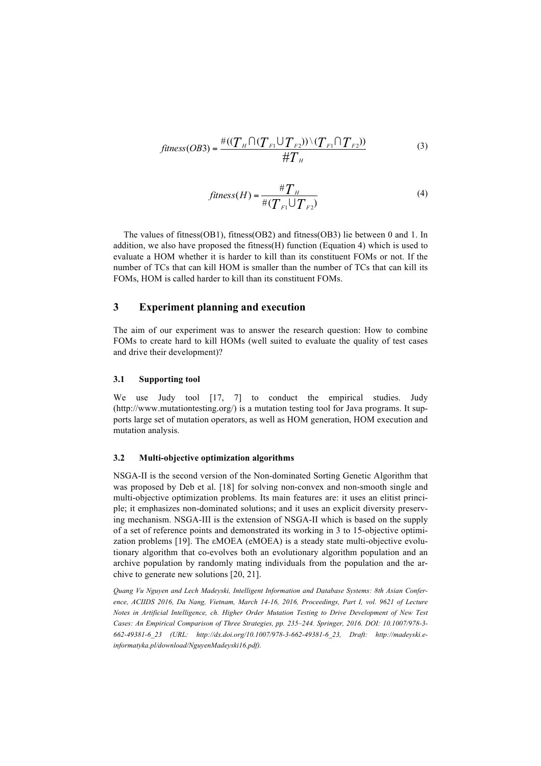$$
fitness(OB3) = \frac{\#((T_H \cap (T_{F1} \cup T_{F2})) \setminus (T_{F1} \cap T_{F2}))}{\#T_H}
$$
(3)

$$
fitness(H) = \frac{\#T_H}{\#(T_{F1} \cup T_{F2})}
$$
\n(4)

The values of fitness(OB1), fitness(OB2) and fitness(OB3) lie between 0 and 1. In addition, we also have proposed the fitness(H) function (Equation 4) which is used to evaluate a HOM whether it is harder to kill than its constituent FOMs or not. If the number of TCs that can kill HOM is smaller than the number of TCs that can kill its FOMs, HOM is called harder to kill than its constituent FOMs.

## **3 Experiment planning and execution**

The aim of our experiment was to answer the research question: How to combine FOMs to create hard to kill HOMs (well suited to evaluate the quality of test cases and drive their development)?

## **3.1 Supporting tool**

We use Judy tool [17, 7] to conduct the empirical studies. Judy  $(\text{http://www.mutationtesting.org/})$  is a mutation testing tool for Java programs. It supports large set of mutation operators, as well as HOM generation, HOM execution and mutation analysis.

#### **3.2 Multi-objective optimization algorithms**

NSGA-II is the second version of the Non-dominated Sorting Genetic Algorithm that was proposed by Deb et al. [18] for solving non-convex and non-smooth single and multi-objective optimization problems. Its main features are: it uses an elitist principle; it emphasizes non-dominated solutions; and it uses an explicit diversity preserving mechanism. NSGA-III is the extension of NSGA-II which is based on the supply of a set of reference points and demonstrated its working in 3 to 15-objective optimization problems [19]. The εMOEA (eMOEA) is a steady state multi-objective evolutionary algorithm that co-evolves both an evolutionary algorithm population and an archive population by randomly mating individuals from the population and the archive to generate new solutions [20, 21].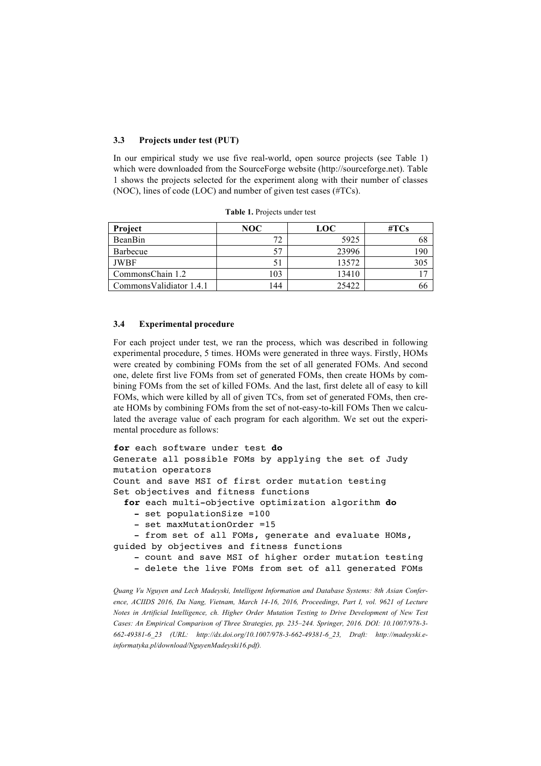## **3.3 Projects under test (PUT)**

In our empirical study we use five real-world, open source projects (see Table 1) which were downloaded from the SourceForge website (http://sourceforge.net). Table 1 shows the projects selected for the experiment along with their number of classes (NOC), lines of code (LOC) and number of given test cases (#TCs).

| Project                  | NOC | <b>LOC</b> | $\#TCs$ |  |
|--------------------------|-----|------------|---------|--|
| BeanBin                  | 72  | 5925       |         |  |
| Barbecue                 |     | 23996      | 190     |  |
| <b>JWBF</b>              |     | 13572      | 305     |  |
| CommonsChain 1.2         | 103 | 13410      |         |  |
| Commons Validiator 1.4.1 | 144 | 25422      | 00      |  |

**Table 1.** Projects under test

#### **3.4 Experimental procedure**

For each project under test, we ran the process, which was described in following experimental procedure, 5 times. HOMs were generated in three ways. Firstly, HOMs were created by combining FOMs from the set of all generated FOMs. And second one, delete first live FOMs from set of generated FOMs, then create HOMs by combining FOMs from the set of killed FOMs. And the last, first delete all of easy to kill FOMs, which were killed by all of given TCs, from set of generated FOMs, then create HOMs by combining FOMs from the set of not-easy-to-kill FOMs Then we calculated the average value of each program for each algorithm. We set out the experimental procedure as follows:

```
for each software under test do
Generate all possible FOMs by applying the set of Judy 
mutation operators
Count and save MSI of first order mutation testing
Set objectives and fitness functions
  for each multi-objective optimization algorithm do
```
- **-** set populationSize =100
- set maxMutationOrder =15

- from set of all FOMs, generate and evaluate HOMs, guided by objectives and fitness functions

- count and save MSI of higher order mutation testing
- delete the live FOMs from set of all generated FOMs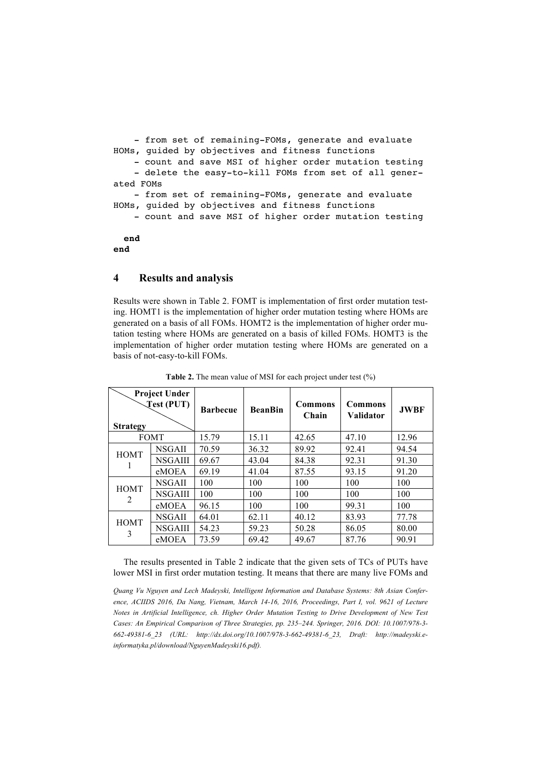```
- from set of remaining-FOMs, generate and evaluate 
HOMs, guided by objectives and fitness functions
   - count and save MSI of higher order mutation testing
    - delete the easy-to-kill FOMs from set of all gener-
ated FOMs
   - from set of remaining-FOMs, generate and evaluate 
HOMs, guided by objectives and fitness functions
   - count and save MSI of higher order mutation testing
 end
end
```
#### **4 Results and analysis**

Results were shown in Table 2. FOMT is implementation of first order mutation testing. HOMT1 is the implementation of higher order mutation testing where HOMs are generated on a basis of all FOMs. HOMT2 is the implementation of higher order mutation testing where HOMs are generated on a basis of killed FOMs. HOMT3 is the implementation of higher order mutation testing where HOMs are generated on a basis of not-easy-to-kill FOMs.

| <b>Project Under</b><br><b>Test (PUT)</b><br><b>Strategy</b> |                | <b>Barbecue</b> | <b>BeanBin</b> | <b>Commons</b><br>Chain | <b>Commons</b><br><b>Validator</b> | <b>JWBF</b> |
|--------------------------------------------------------------|----------------|-----------------|----------------|-------------------------|------------------------------------|-------------|
| <b>FOMT</b>                                                  |                | 15.79           | 15.11          | 42.65                   | 47.10                              | 12.96       |
| <b>HOMT</b>                                                  | NSGAII         | 70.59           | 36.32          | 89.92                   | 92.41                              | 94.54       |
|                                                              | NSGAIII        | 69.67           | 43.04          | 84.38                   | 92.31                              | 91.30       |
|                                                              | eMOEA          | 69.19           | 41.04          | 87.55                   | 93.15                              | 91.20       |
| <b>HOMT</b><br>2                                             | NSGAII         | 100             | 100            | 100                     | 100                                | 100         |
|                                                              | NSGAIII        | 100             | 100            | 100                     | 100                                | 100         |
|                                                              | eMOEA          | 96.15           | 100            | 100                     | 99.31                              | 100         |
| <b>HOMT</b><br>3                                             | <b>NSGAII</b>  | 64.01           | 62.11          | 40.12                   | 83.93                              | 77.78       |
|                                                              | <b>NSGAIII</b> | 54.23           | 59.23          | 50.28                   | 86.05                              | 80.00       |
|                                                              | eMOEA          | 73.59           | 69.42          | 49.67                   | 87.76                              | 90.91       |

**Table 2.** The mean value of MSI for each project under test (%)

The results presented in Table 2 indicate that the given sets of TCs of PUTs have lower MSI in first order mutation testing. It means that there are many live FOMs and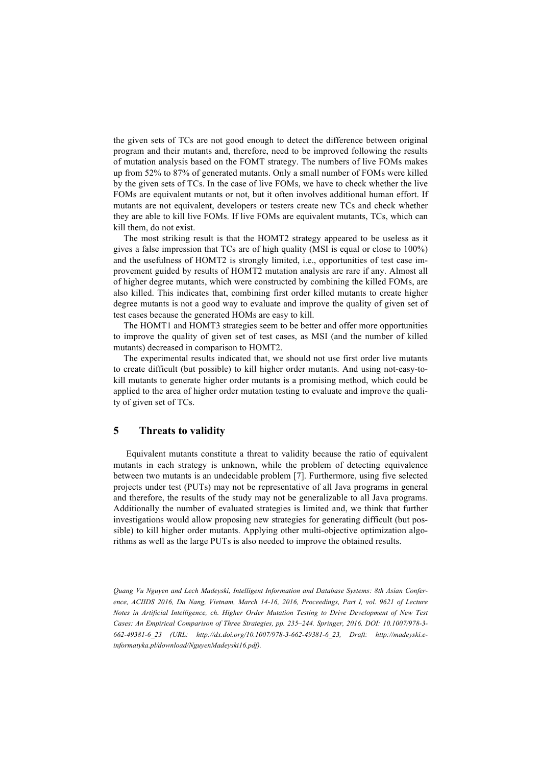the given sets of TCs are not good enough to detect the difference between original program and their mutants and, therefore, need to be improved following the results of mutation analysis based on the FOMT strategy. The numbers of live FOMs makes up from 52% to 87% of generated mutants. Only a small number of FOMs were killed by the given sets of TCs. In the case of live FOMs, we have to check whether the live FOMs are equivalent mutants or not, but it often involves additional human effort. If mutants are not equivalent, developers or testers create new TCs and check whether they are able to kill live FOMs. If live FOMs are equivalent mutants, TCs, which can kill them, do not exist.

The most striking result is that the HOMT2 strategy appeared to be useless as it gives a false impression that TCs are of high quality (MSI is equal or close to 100%) and the usefulness of HOMT2 is strongly limited, i.e., opportunities of test case improvement guided by results of HOMT2 mutation analysis are rare if any. Almost all of higher degree mutants, which were constructed by combining the killed FOMs, are also killed. This indicates that, combining first order killed mutants to create higher degree mutants is not a good way to evaluate and improve the quality of given set of test cases because the generated HOMs are easy to kill.

The HOMT1 and HOMT3 strategies seem to be better and offer more opportunities to improve the quality of given set of test cases, as MSI (and the number of killed mutants) decreased in comparison to HOMT2.

The experimental results indicated that, we should not use first order live mutants to create difficult (but possible) to kill higher order mutants. And using not-easy-tokill mutants to generate higher order mutants is a promising method, which could be applied to the area of higher order mutation testing to evaluate and improve the quality of given set of TCs.

# **5 Threats to validity**

Equivalent mutants constitute a threat to validity because the ratio of equivalent mutants in each strategy is unknown, while the problem of detecting equivalence between two mutants is an undecidable problem [7]. Furthermore, using five selected projects under test (PUTs) may not be representative of all Java programs in general and therefore, the results of the study may not be generalizable to all Java programs. Additionally the number of evaluated strategies is limited and, we think that further investigations would allow proposing new strategies for generating difficult (but possible) to kill higher order mutants. Applying other multi-objective optimization algorithms as well as the large PUTs is also needed to improve the obtained results.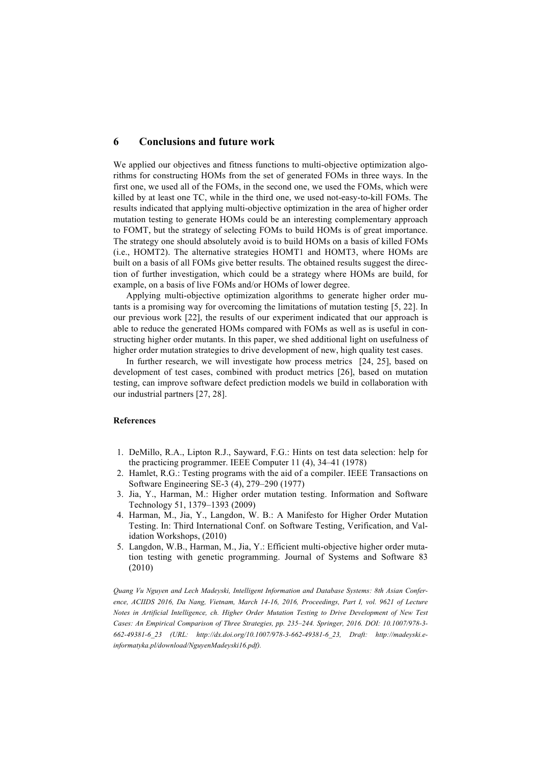## **6 Conclusions and future work**

We applied our objectives and fitness functions to multi-objective optimization algorithms for constructing HOMs from the set of generated FOMs in three ways. In the first one, we used all of the FOMs, in the second one, we used the FOMs, which were killed by at least one TC, while in the third one, we used not-easy-to-kill FOMs. The results indicated that applying multi-objective optimization in the area of higher order mutation testing to generate HOMs could be an interesting complementary approach to FOMT, but the strategy of selecting FOMs to build HOMs is of great importance. The strategy one should absolutely avoid is to build HOMs on a basis of killed FOMs (i.e., HOMT2). The alternative strategies HOMT1 and HOMT3, where HOMs are built on a basis of all FOMs give better results. The obtained results suggest the direction of further investigation, which could be a strategy where HOMs are build, for example, on a basis of live FOMs and/or HOMs of lower degree.

Applying multi-objective optimization algorithms to generate higher order mutants is a promising way for overcoming the limitations of mutation testing [5, 22]. In our previous work [22], the results of our experiment indicated that our approach is able to reduce the generated HOMs compared with FOMs as well as is useful in constructing higher order mutants. In this paper, we shed additional light on usefulness of higher order mutation strategies to drive development of new, high quality test cases.

In further research, we will investigate how process metrics [24, 25], based on development of test cases, combined with product metrics [26], based on mutation testing, can improve software defect prediction models we build in collaboration with our industrial partners [27, 28].

#### **References**

- 1. DeMillo, R.A., Lipton R.J., Sayward, F.G.: Hints on test data selection: help for the practicing programmer. IEEE Computer 11 (4), 34–41 (1978)
- 2. Hamlet, R.G.: Testing programs with the aid of a compiler. IEEE Transactions on Software Engineering SE-3 (4), 279–290 (1977)
- 3. Jia, Y., Harman, M.: Higher order mutation testing. Information and Software Technology 51, 1379–1393 (2009)
- 4. Harman, M., Jia, Y., Langdon, W. B.: A Manifesto for Higher Order Mutation Testing. In: Third International Conf. on Software Testing, Verification, and Validation Workshops, (2010)
- 5. Langdon, W.B., Harman, M., Jia, Y.: Efficient multi-objective higher order mutation testing with genetic programming. Journal of Systems and Software 83 (2010)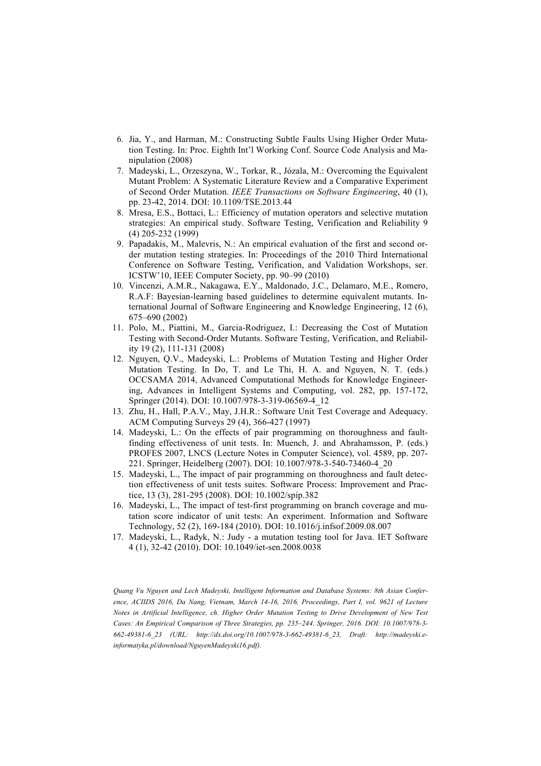- 6. Jia, Y., and Harman, M.: Constructing Subtle Faults Using Higher Order Mutation Testing. In: Proc. Eighth Int'l Working Conf. Source Code Analysis and Manipulation (2008)
- 7. Madeyski, L., Orzeszyna, W., Torkar, R., Józala, M.: Overcoming the Equivalent Mutant Problem: A Systematic Literature Review and a Comparative Experiment of Second Order Mutation. *IEEE Transactions on Software Engineering*, 40 (1), pp. 23-42, 2014. DOI: 10.1109/TSE.2013.44
- 8. Mresa, E.S., Bottaci, L.: Efficiency of mutation operators and selective mutation strategies: An empirical study. Software Testing, Verification and Reliability 9 (4) 205-232 (1999)
- 9. Papadakis, M., Malevris, N.: An empirical evaluation of the first and second order mutation testing strategies. In: Proceedings of the 2010 Third International Conference on Software Testing, Verification, and Validation Workshops, ser. ICSTW'10, IEEE Computer Society, pp. 90–99 (2010)
- 10. Vincenzi, A.M.R., Nakagawa, E.Y., Maldonado, J.C., Delamaro, M.E., Romero, R.A.F: Bayesian-learning based guidelines to determine equivalent mutants. International Journal of Software Engineering and Knowledge Engineering, 12 (6), 675–690 (2002)
- 11. Polo, M., Piattini, M., Garcia-Rodriguez, I.: Decreasing the Cost of Mutation Testing with Second-Order Mutants. Software Testing, Verification, and Reliability 19 (2), 111-131 (2008)
- 12. Nguyen, Q.V., Madeyski, L.: Problems of Mutation Testing and Higher Order Mutation Testing. In Do, T. and Le Thi, H. A. and Nguyen, N. T. (eds.) OCCSAMA 2014, Advanced Computational Methods for Knowledge Engineering, Advances in Intelligent Systems and Computing, vol. 282, pp. 157-172, Springer (2014). DOI: 10.1007/978-3-319-06569-4\_12
- 13. Zhu, H., Hall, P.A.V., May, J.H.R.: Software Unit Test Coverage and Adequacy. ACM Computing Surveys 29 (4), 366-427 (1997)
- 14. Madeyski, L.: On the effects of pair programming on thoroughness and faultfinding effectiveness of unit tests. In: Muench, J. and Abrahamsson, P. (eds.) PROFES 2007, LNCS (Lecture Notes in Computer Science), vol. 4589, pp. 207- 221. Springer, Heidelberg (2007). DOI: 10.1007/978-3-540-73460-4\_20
- 15. Madeyski, L., The impact of pair programming on thoroughness and fault detection effectiveness of unit tests suites. Software Process: Improvement and Practice, 13 (3), 281-295 (2008). DOI: 10.1002/spip.382
- 16. Madeyski, L., The impact of test-first programming on branch coverage and mutation score indicator of unit tests: An experiment. Information and Software Technology, 52 (2), 169-184 (2010). DOI: 10.1016/j.infsof.2009.08.007
- 17. Madeyski, L., Radyk, N.: Judy a mutation testing tool for Java. IET Software 4 (1), 32-42 (2010). DOI: 10.1049/iet-sen.2008.0038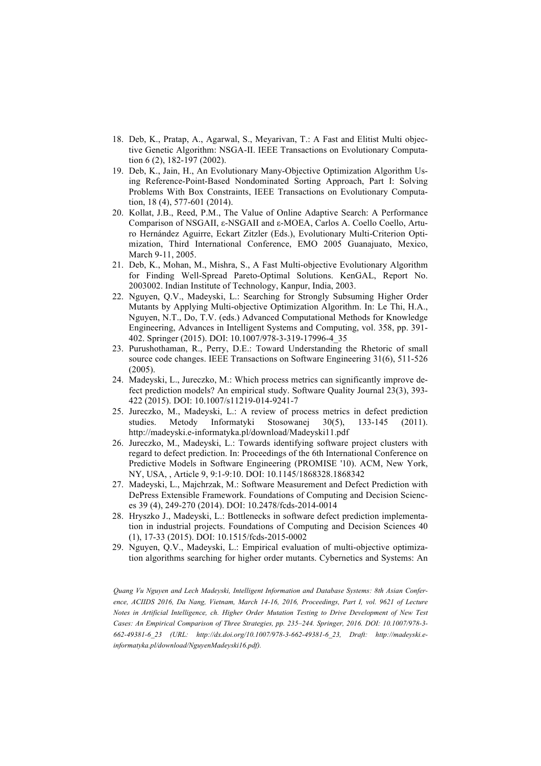- 18. Deb, K., Pratap, A., Agarwal, S., Meyarivan, T.: A Fast and Elitist Multi objective Genetic Algorithm: NSGA-II. IEEE Transactions on Evolutionary Computation 6 (2), 182-197 (2002).
- 19. Deb, K., Jain, H., An Evolutionary Many-Objective Optimization Algorithm Using Reference-Point-Based Nondominated Sorting Approach, Part I: Solving Problems With Box Constraints, IEEE Transactions on Evolutionary Computation, 18 (4), 577-601 (2014).
- 20. Kollat, J.B., Reed, P.M., The Value of Online Adaptive Search: A Performance Comparison of NSGAII, ε-NSGAII and ε-MOEA, Carlos A. Coello Coello, Arturo Hernández Aguirre, Eckart Zitzler (Eds.), Evolutionary Multi-Criterion Optimization, Third International Conference, EMO 2005 Guanajuato, Mexico, March 9-11, 2005.
- 21. Deb, K., Mohan, M., Mishra, S., A Fast Multi-objective Evolutionary Algorithm for Finding Well-Spread Pareto-Optimal Solutions. KenGAL, Report No. 2003002. Indian Institute of Technology, Kanpur, India, 2003.
- 22. Nguyen, Q.V., Madeyski, L.: Searching for Strongly Subsuming Higher Order Mutants by Applying Multi-objective Optimization Algorithm. In: Le Thi, H.A., Nguyen, N.T., Do, T.V. (eds.) Advanced Computational Methods for Knowledge Engineering, Advances in Intelligent Systems and Computing, vol. 358, pp. 391- 402. Springer (2015). DOI: 10.1007/978-3-319-17996-4\_35
- 23. Purushothaman, R., Perry, D.E.: Toward Understanding the Rhetoric of small source code changes. IEEE Transactions on Software Engineering 31(6), 511-526 (2005).
- 24. Madeyski, L., Jureczko, M.: Which process metrics can significantly improve defect prediction models? An empirical study. Software Quality Journal 23(3), 393- 422 (2015). DOI: 10.1007/s11219-014-9241-7
- 25. Jureczko, M., Madeyski, L.: A review of process metrics in defect prediction studies. Metody Informatyki Stosowanej 30(5), 133-145 (2011). http://madeyski.e-informatyka.pl/download/Madeyski11.pdf
- 26. Jureczko, M., Madeyski, L.: Towards identifying software project clusters with regard to defect prediction. In: Proceedings of the 6th International Conference on Predictive Models in Software Engineering (PROMISE '10). ACM, New York, NY, USA, , Article 9, 9:1-9:10. DOI: 10.1145/1868328.1868342
- 27. Madeyski, L., Majchrzak, M.: Software Measurement and Defect Prediction with DePress Extensible Framework. Foundations of Computing and Decision Sciences 39 (4), 249-270 (2014). DOI: 10.2478/fcds-2014-0014
- 28. Hryszko J., Madeyski, L.: Bottlenecks in software defect prediction implementation in industrial projects. Foundations of Computing and Decision Sciences 40 (1), 17-33 (2015). DOI: 10.1515/fcds-2015-0002
- 29. Nguyen, Q.V., Madeyski, L.: Empirical evaluation of multi-objective optimization algorithms searching for higher order mutants. Cybernetics and Systems: An